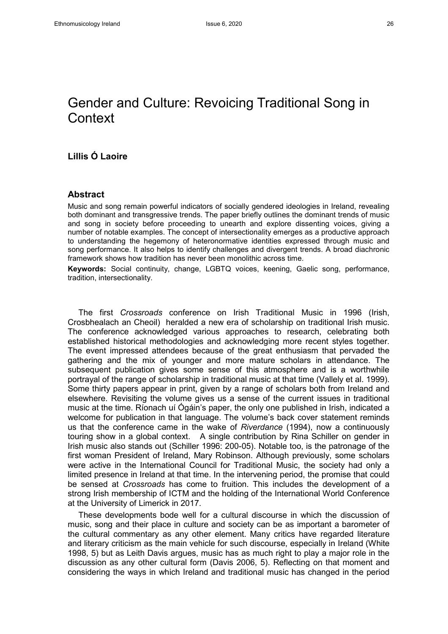# Gender and Culture: Revoicing Traditional Song in **Context**

## **Lillis Ó Laoire**

#### **Abstract**

Music and song remain powerful indicators of socially gendered ideologies in Ireland, revealing both dominant and transgressive trends. The paper briefly outlines the dominant trends of music and song in society before proceeding to unearth and explore dissenting voices, giving a number of notable examples. The concept of intersectionality emerges as a productive approach to understanding the hegemony of heteronormative identities expressed through music and song performance. It also helps to identify challenges and divergent trends. A broad diachronic framework shows how tradition has never been monolithic across time.

**Keywords:** Social continuity, change, LGBTQ voices, keening, Gaelic song, performance, tradition, intersectionality.

The first *Crossroads* conference on Irish Traditional Music in 1996 (Irish, Crosbhealach an Cheoil) heralded a new era of scholarship on traditional Irish music. The conference acknowledged various approaches to research, celebrating both established historical methodologies and acknowledging more recent styles together. The event impressed attendees because of the great enthusiasm that pervaded the gathering and the mix of younger and more mature scholars in attendance. The subsequent publication gives some sense of this atmosphere and is a worthwhile portrayal of the range of scholarship in traditional music at that time (Vallely et al. 1999). Some thirty papers appear in print, given by a range of scholars both from Ireland and elsewhere. Revisiting the volume gives us a sense of the current issues in traditional music at the time. Ríonach uí Ógáin's paper, the only one published in Irish, indicated a welcome for publication in that language. The volume's back cover statement reminds us that the conference came in the wake of *Riverdance* (1994), now a continuously touring show in a global context. A single contribution by Rina Schiller on gender in Irish music also stands out (Schiller 1996: 200-05). Notable too, is the patronage of the first woman President of Ireland, Mary Robinson. Although previously, some scholars were active in the International Council for Traditional Music, the society had only a limited presence in Ireland at that time. In the intervening period, the promise that could be sensed at *Crossroads* has come to fruition. This includes the development of a strong Irish membership of ICTM and the holding of the International World Conference at the University of Limerick in 2017.

These developments bode well for a cultural discourse in which the discussion of music, song and their place in culture and society can be as important a barometer of the cultural commentary as any other element. Many critics have regarded literature and literary criticism as the main vehicle for such discourse, especially in Ireland (White 1998, 5) but as Leith Davis argues, music has as much right to play a major role in the discussion as any other cultural form (Davis 2006, 5). Reflecting on that moment and considering the ways in which Ireland and traditional music has changed in the period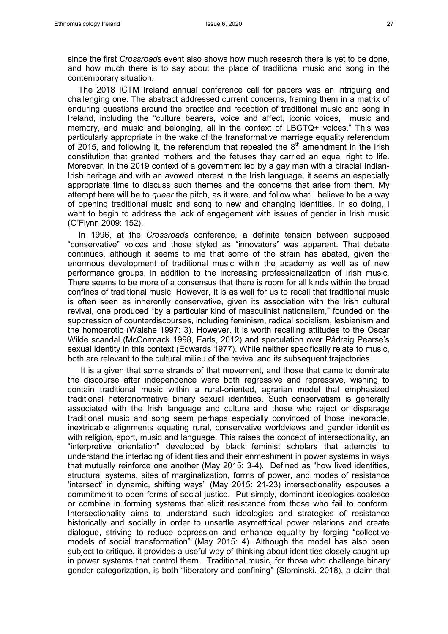since the first *Crossroads* event also shows how much research there is yet to be done, and how much there is to say about the place of traditional music and song in the contemporary situation.

The 2018 ICTM Ireland annual conference call for papers was an intriguing and challenging one. The abstract addressed current concerns, framing them in a matrix of enduring questions around the practice and reception of traditional music and song in Ireland, including the "culture bearers, voice and affect, iconic voices, music and memory, and music and belonging, all in the context of LBGTQ+ voices." This was particularly appropriate in the wake of the transformative marriage equality referendum of 2015, and following it, the referendum that repealed the  $8<sup>th</sup>$  amendment in the Irish constitution that granted mothers and the fetuses they carried an equal right to life. Moreover, in the 2019 context of a government led by a gay man with a biracial Indian-Irish heritage and with an avowed interest in the Irish language, it seems an especially appropriate time to discuss such themes and the concerns that arise from them. My attempt here will be to *queer* the pitch, as it were, and follow what I believe to be a way of opening traditional music and song to new and changing identities. In so doing, I want to begin to address the lack of engagement with issues of gender in Irish music (O'Flynn 2009: 152).

In 1996, at the *Crossroads* conference, a definite tension between supposed "conservative" voices and those styled as "innovators" was apparent. That debate continues, although it seems to me that some of the strain has abated, given the enormous development of traditional music within the academy as well as of new performance groups, in addition to the increasing professionalization of Irish music. There seems to be more of a consensus that there is room for all kinds within the broad confines of traditional music. However, it is as well for us to recall that traditional music is often seen as inherently conservative, given its association with the Irish cultural revival, one produced "by a particular kind of masculinist nationalism," founded on the suppression of counterdiscourses, including feminism, radical socialism, lesbianism and the homoerotic (Walshe 1997: 3). However, it is worth recalling attitudes to the Oscar Wilde scandal (McCormack 1998, Earls, 2012) and speculation over Pádraig Pearse's sexual identity in this context (Edwards 1977). While neither specifically relate to music, both are relevant to the cultural milieu of the revival and its subsequent trajectories.

It is a given that some strands of that movement, and those that came to dominate the discourse after independence were both regressive and repressive, wishing to contain traditional music within a rural-oriented, agrarian model that emphasized traditional heteronormative binary sexual identities. Such conservatism is generally associated with the Irish language and culture and those who reject or disparage traditional music and song seem perhaps especially convinced of those inexorable, inextricable alignments equating rural, conservative worldviews and gender identities with religion, sport, music and language. This raises the concept of intersectionality, an "interpretive orientation" developed by black feminist scholars that attempts to understand the interlacing of identities and their enmeshment in power systems in ways that mutually reinforce one another (May 2015: 3-4). Defined as "how lived identities, structural systems, sites of marginalization, forms of power, and modes of resistance 'intersect' in dynamic, shifting ways" (May 2015: 21-23) intersectionality espouses a commitment to open forms of social justice. Put simply, dominant ideologies coalesce or combine in forming systems that elicit resistance from those who fail to conform. Intersectionality aims to understand such ideologies and strategies of resistance historically and socially in order to unsettle asymettrical power relations and create dialogue, striving to reduce oppression and enhance equality by forging "collective models of social transformation" (May 2015: 4). Although the model has also been subject to critique, it provides a useful way of thinking about identities closely caught up in power systems that control them. Traditional music, for those who challenge binary gender categorization, is both "liberatory and confining" (Slominski, 2018), a claim that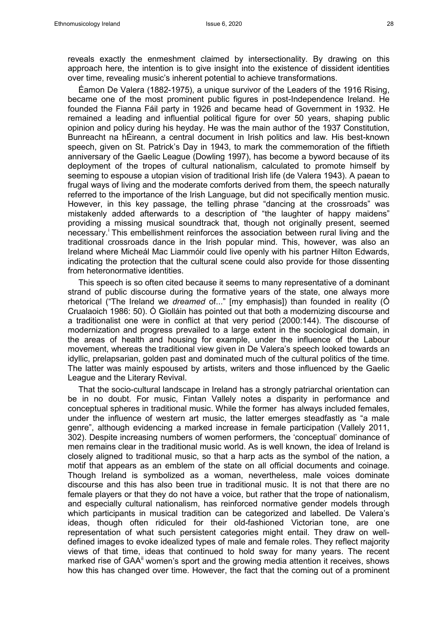reveals exactly the enmeshment claimed by intersectionality. By drawing on this approach here, the intention is to give insight into the existence of dissident identities over time, revealing music's inherent potential to achieve transformations.

<span id="page-2-2"></span><span id="page-2-1"></span><span id="page-2-0"></span>Éamon De Valera (1882-1975), a unique survivor of the Leaders of the 1916 Rising, became one of the most prominent public figures in post-Independence Ireland. He founded the Fianna Fáil party in 1926 and became head of Government in 1932. He remained a leading and influential political figure for over 50 years, shaping public opinion and policy during his heyday. He was the main author of the 1937 Constitution, Bunreacht na hÉireann, a central document in Irish politics and law. His best-known speech, given on St. Patrick's Day in 1943, to mark the commemoration of the fiftieth anniversary of the Gaelic League (Dowling 1997), has become a byword because of its deployment of the tropes of cultural nationalism, calculated to promote himself by seeming to espouse a utopian vision of traditional Irish life (de Valera 1943). A paean to frugal ways of living and the moderate comforts derived from them, the speech naturally referred to the importance of the Irish Language, but did not specifically mention music. However, in this key passage, the telling phrase "dancing at the crossroads" was mistakenly added afterwards to a description of "the laughter of happy maidens" providing a missing musical soundtrack that, though not originally present, seemed necessary.<sup>[i](#page-2-0)</sup> This embellishment reinforces the association between rural living and the traditional crossroads dance in the Irish popular mind. This, however, was also an Ireland where Micheál Mac Liammóir could live openly with his partner Hilton Edwards, indicating the protection that the cultural scene could also provide for those dissenting from heteronormative identities.

<span id="page-2-5"></span><span id="page-2-4"></span><span id="page-2-3"></span>This speech is so often cited because it seems to many representative of a dominant strand of public discourse during the formative years of the state, one always more rhetorical ("The Ireland we *dreamed* of..." [my emphasis]) than founded in reality (Ó Crualaoich 1986: 50). Ó Giolláin has pointed out that both a modernizing discourse and a traditionalist one were in conflict at that very period (2000:144). The discourse of modernization and progress prevailed to a large extent in the sociological domain, in the areas of health and housing for example, under the influence of the Labour movement, whereas the traditional view given in De Valera's speech looked towards an idyllic, prelapsarian, golden past and dominated much of the cultural politics of the time. The latter was mainly espoused by artists, writers and those influenced by the Gaelic League and the Literary Revival.

That the socio-cultural landscape in Ireland has a strongly patriarchal orientation can be in no doubt. For music, Fintan Vallely notes a disparity in performance and conceptual spheres in traditional music. While the former has always included females, under the influence of western art music, the latter emerges steadfastly as "a male genre", although evidencing a marked increase in female participation (Vallely 2011, 302). Despite increasing numbers of women performers, the 'conceptual' dominance of men remains clear in the traditional music world. As is well known, the idea of Ireland is closely aligned to traditional music, so that a harp acts as the symbol of the nation, a motif that appears as an emblem of the state on all official documents and coinage. Though Ireland is symbolized as a woman, nevertheless, male voices dominate discourse and this has also been true in traditional music. It is not that there are no female players or that they do not have a voice, but rather that the trope of nationalism, and especially cultural nationalism, has reinforced normative gender models through which participants in musical tradition can be categorized and labelled. De Valera's ideas, though often ridiculed for their old-fashioned Victorian tone, are one representation of what such persistent categories might entail. They draw on welldefined images to evoke idealized types of male and female roles. They reflect majority views of that time, ideas that continued to hold sway for many years. The recent marked rise of GAA<sup>"</sup> women's sport and the growing media attention it receives, shows how this has changed over time. However, the fact that the coming out of a prominent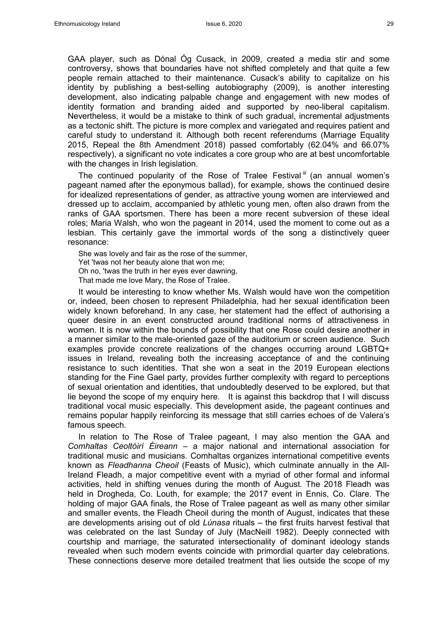GAA player, such as Dónal Óg Cusack, in 2009, created a media stir and some controversy, shows that boundaries have not shifted completely and that quite a few people remain attached to their maintenance. Cusack's ability to capitalize on his identity by publishing a best-selling autobiography (2009), is another interesting development, also indicating palpable change and engagement with new modes of identity formation and branding aided and supported by neo-liberal capitalism. Nevertheless, it would be a mistake to think of such gradual, incremental adjustments as a tectonic shift. The picture is more complex and variegated and requires patient and careful study to understand it. Although both recent referendums (Marriage Equality 2015, Repeal the 8th Amendment 2018) passed comfortably (62.04% and 66.07% respectively), a significant no vote indicates a core group who are at best uncomfortable with the changes in Irish legislation.

The continued popularity of the Rose of Tralee Festival<sup>[iii](#page-2-2)</sup> (an annual women's pageant named after the eponymous ballad), for example, shows the continued desire for idealized representations of gender, as attractive young women are interviewed and dressed up to acclaim, accompanied by athletic young men, often also drawn from the ranks of GAA sportsmen. There has been a more recent subversion of these ideal roles; Maria Walsh, who won the pageant in 2014, used the moment to come out as a lesbian. This certainly gave the immortal words of the song a distinctively queer resonance:

She was lovely and fair as the rose of the summer, Yet 'twas not her beauty alone that won me; Oh no, 'twas the truth in her eyes ever dawning, That made me love Mary, the Rose of Tralee.

It would be interesting to know whether Ms. Walsh would have won the competition or, indeed, been chosen to represent Philadelphia, had her sexual identification been widely known beforehand. In any case, her statement had the effect of authorising a queer desire in an event constructed around traditional norms of attractiveness in women. It is now within the bounds of possibility that one Rose could desire another in a manner similar to the male-oriented gaze of the auditorium or screen audience. Such examples provide concrete realizations of the changes occurring around LGBTQ+ issues in Ireland, revealing both the increasing acceptance of and the continuing resistance to such identities. That she won a seat in the 2019 European elections standing for the Fine Gael party, provides further complexity with regard to perceptions of sexual orientation and identities, that undoubtedly deserved to be explored, but that lie beyond the scope of my enquiry here. It is against this backdrop that I will discuss traditional vocal music especially. This development aside, the pageant continues and remains popular happily reinforcing its message that still carries echoes of de Valera's famous speech.

In relation to The Rose of Tralee pageant, I may also mention the GAA and *Comhaltas Ceoltóirí Éireann* – a major national and international association for traditional music and musicians. Comhaltas organizes international competitive events known as *Fleadhanna Cheoil* (Feasts of Music), which culminate annually in the All-Ireland Fleadh, a major competitive event with a myriad of other formal and informal activities, held in shifting venues during the month of August. The 2018 Fleadh was held in Drogheda, Co. Louth, for example; the 2017 event in Ennis, Co. Clare. The holding of major GAA finals, the Rose of Tralee pageant as well as many other similar and smaller events, the Fleadh Cheoil during the month of August, indicates that these are developments arising out of old *Lúnasa* rituals – the first fruits harvest festival that was celebrated on the last Sunday of July (MacNeill 1982). Deeply connected with courtship and marriage, the saturated intersectionality of dominant ideology stands revealed when such modern events coincide with primordial quarter day celebrations. These connections deserve more detailed treatment that lies outside the scope of my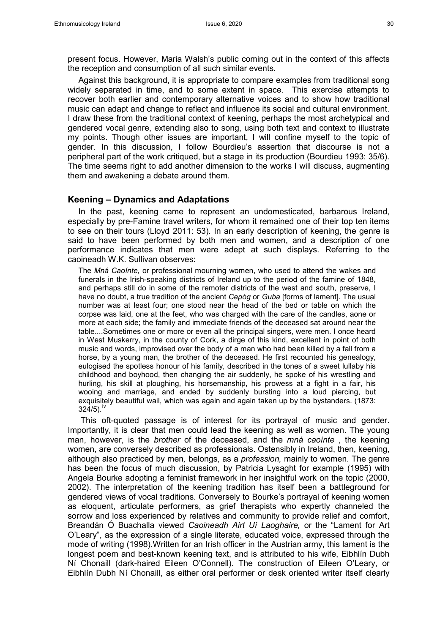present focus. However, Maria Walsh's public coming out in the context of this affects the reception and consumption of all such similar events.

Against this background, it is appropriate to compare examples from traditional song widely separated in time, and to some extent in space. This exercise attempts to recover both earlier and contemporary alternative voices and to show how traditional music can adapt and change to reflect and influence its social and cultural environment. I draw these from the traditional context of keening, perhaps the most archetypical and gendered vocal genre, extending also to song, using both text and context to illustrate my points. Though other issues are important, I will confine myself to the topic of gender. In this discussion, I follow Bourdieu's assertion that discourse is not a peripheral part of the work critiqued, but a stage in its production (Bourdieu 1993: 35/6). The time seems right to add another dimension to the works I will discuss, augmenting them and awakening a debate around them.

#### **Keening – Dynamics and Adaptations**

In the past, keening came to represent an undomesticated, barbarous Ireland, especially by pre-Famine travel writers, for whom it remained one of their top ten items to see on their tours (Lloyd 2011: 53). In an early description of keening, the genre is said to have been performed by both men and women, and a description of one performance indicates that men were adept at such displays. Referring to the caoineadh W.K. Sullivan observes:

The *Mná Caoínte,* or professional mourning women, who used to attend the wakes and funerals in the Irish-speaking districts of Ireland up to the period of the famine of 1848, and perhaps still do in some of the remoter districts of the west and south, preserve, I have no doubt, a true tradition of the ancient *Cepóg* or *Guba* [forms of lament]*.* The usual number was at least four; one stood near the head of the bed or table on which the corpse was laid, one at the feet, who was charged with the care of the candles, aone or more at each side; the family and immediate friends of the deceased sat around near the table....Sometimes one or more or even all the principal singers, were men. I once heard in West Muskerry, in the county of Cork, a dirge of this kind, excellent in point of both music and words, improvised over the body of a man who had been killed by a fall from a horse, by a young man, the brother of the deceased. He first recounted his genealogy, eulogised the spotless honour of his family, described in the tones of a sweet lullaby his childhood and boyhood, then changing the air suddenly, he spoke of his wrestling and hurling, his skill at ploughing, his horsemanship, his prowess at a fight in a fair, his wooing and marriage, and ended by suddenly bursting into a loud piercing, but exquisitely beautiful wail, which was again and again taken up by the bystanders. (1873:  $324/5$ ).<sup>[iv](#page-2-3)</sup>

This oft-quoted passage is of interest for its portrayal of music and gender. Importantly, it is clear that men could lead the keening as well as women. The young man, however, is the *brother* of the deceased, and the *mná caoínte* , the keening women, are conversely described as professionals. Ostensibly in Ireland, then, keening, although also practiced by men*,* belongs, as a *profession,* mainly to women. The genre has been the focus of much discussion, by Patricia Lysaght for example (1995) with Angela Bourke adopting a feminist framework in her insightful work on the topic (2000, 2002). The interpretation of the keening tradition has itself been a battleground for gendered views of vocal traditions. Conversely to Bourke's portrayal of keening women as eloquent, articulate performers, as grief therapists who expertly channeled the sorrow and loss experienced by relatives and community to provide relief and comfort, Breandán Ó Buachalla viewed *Caoineadh Airt Uí Laoghaire,* or the "Lament for Art O'Leary", as the expression of a single literate, educated voice, expressed through the mode of writing (1998).Written for an Irish officer in the Austrian army, this lament is the longest poem and best-known keening text, and is attributed to his wife, Eibhlín Dubh Ní Chonaill (dark-haired Eileen O'Connell). The construction of Eileen O'Leary, or Eibhlín Dubh Ní Chonaill, as either oral performer or desk oriented writer itself clearly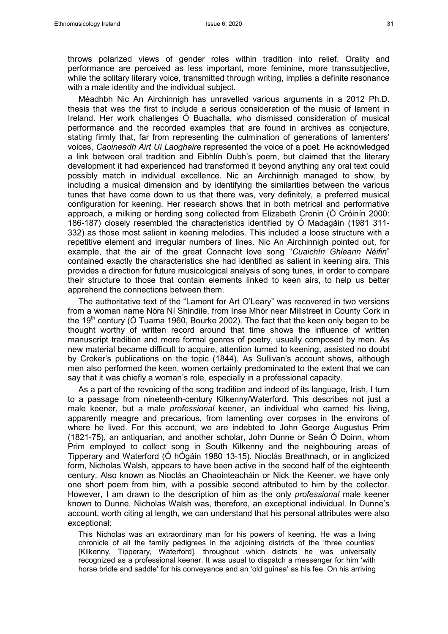throws polarized views of gender roles within tradition into relief. Orality and performance are perceived as less important, more feminine, more transsubjective, while the solitary literary voice, transmitted through writing, implies a definite resonance with a male identity and the individual subject.

Méadhbh Nic An Airchinnigh has unravelled various arguments in a 2012 Ph.D. thesis that was the first to include a serious consideration of the music of lament in Ireland. Her work challenges Ó Buachalla, who dismissed consideration of musical performance and the recorded examples that are found in archives as conjecture, stating firmly that, far from representing the culmination of generations of lamenters' voices, *Caoineadh Airt Uí Laoghaire* represented the voice of a poet. He acknowledged a link between oral tradition and Eibhlín Dubh's poem, but claimed that the literary development it had experienced had transformed it beyond anything any oral text could possibly match in individual excellence. Nic an Airchinnigh managed to show, by including a musical dimension and by identifying the similarities between the various tunes that have come down to us that there was, very definitely, a preferred musical configuration for keening. Her research shows that in both metrical and performative approach, a milking or herding song collected from Elizabeth Cronin (Ó Cróinín 2000: 186-187) closely resembled the characteristics identified by Ó Madagáin (1981 311- 332) as those most salient in keening melodies. This included a loose structure with a repetitive element and irregular numbers of lines. Nic An Airchinnigh pointed out, for example, that the air of the great Connacht love song "*Cuaichín Ghleann Néifin*" contained exactly the characteristics she had identified as salient in keening airs. This provides a direction for future musicological analysis of song tunes, in order to compare their structure to those that contain elements linked to keen airs, to help us better apprehend the connections between them.

The authoritative text of the "Lament for Art O'Leary" was recovered in two versions from a woman name Nóra Ní Shindile, from Inse Mhór near Millstreet in County Cork in the 19<sup>th</sup> century (O Tuama 1960, Bourke 2002). The fact that the keen only began to be thought worthy of written record around that time shows the influence of written manuscript tradition and more formal genres of poetry, usually composed by men. As new material became difficult to acquire, attention turned to keening, assisted no doubt by Croker's publications on the topic (1844). As Sullivan's account shows, although men also performed the keen, women certainly predominated to the extent that we can say that it was chiefly a woman's role, especially in a professional capacity.

As a part of the revoicing of the song tradition and indeed of its language, Irish, I turn to a passage from nineteenth-century Kilkenny/Waterford. This describes not just a male keener, but a male *professional* keener, an individual who earned his living, apparently meagre and precarious, from lamenting over corpses in the environs of where he lived. For this account, we are indebted to John George Augustus Prim (1821-75), an antiquarian, and another scholar, John Dunne or Seán Ó Doinn, whom Prim employed to collect song in South Kilkenny and the neighbouring areas of Tipperary and Waterford (Ó hÓgáin 1980 13-15). Nioclás Breathnach, or in anglicized form, Nicholas Walsh, appears to have been active in the second half of the eighteenth century. Also known as Nioclás an Chaointeacháin or Nick the Keener, we have only one short poem from him, with a possible second attributed to him by the collector. However, I am drawn to the description of him as the only *professional* male keener known to Dunne. Nicholas Walsh was, therefore, an exceptional individual. In Dunne's account, worth citing at length, we can understand that his personal attributes were also exceptional:

This Nicholas was an extraordinary man for his powers of keening. He was a living chronicle of all the family pedigrees in the adjoining districts of the 'three counties' [Kilkenny, Tipperary, Waterford], throughout which districts he was universally recognized as a professional keener. It was usual to dispatch a messenger for him 'with horse bridle and saddle' for his conveyance and an 'old guinea' as his fee. On his arriving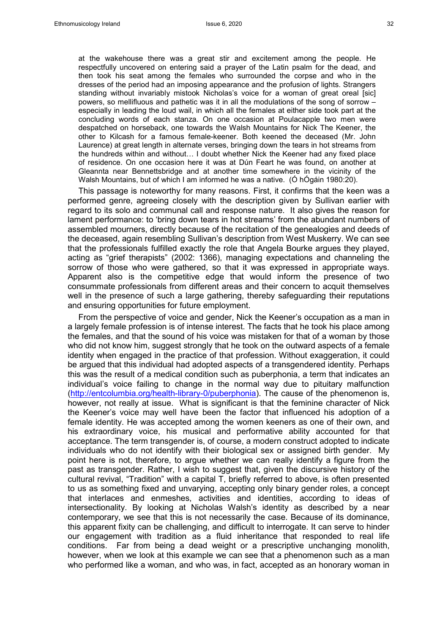at the wakehouse there was a great stir and excitement among the people. He respectfully uncovered on entering said a prayer of the Latin psalm for the dead, and then took his seat among the females who surrounded the corpse and who in the dresses of the period had an imposing appearance and the profusion of lights. Strangers standing without invariably mistook Nicholas's voice for a woman of great oreal [sic] powers, so mellifluous and pathetic was it in all the modulations of the song of sorrow – especially in leading the loud wail, in which all the females at either side took part at the concluding words of each stanza. On one occasion at Poulacapple two men were despatched on horseback, one towards the Walsh Mountains for Nick The Keener, the other to Kilcash for a famous female-keener. Both keened the deceased (Mr. John Laurence) at great length in alternate verses, bringing down the tears in hot streams from the hundreds within and without… I doubt whether Nick the Keener had any fixed place of residence. On one occasion here it was at Dún Feart he was found, on another at Gleannta near Bennettsbridge and at another time somewhere in the vicinity of the Walsh Mountains, but of which I am informed he was a native. (Ó hÓgáin 1980:20).

This passage is noteworthy for many reasons. First, it confirms that the keen was a performed genre, agreeing closely with the description given by Sullivan earlier with regard to its solo and communal call and response nature. It also gives the reason for lament performance: to 'bring down tears in hot streams' from the abundant numbers of assembled mourners, directly because of the recitation of the genealogies and deeds of the deceased, again resembling Sullivan's description from West Muskerry. We can see that the professionals fulfilled exactly the role that Angela Bourke argues they played, acting as "grief therapists" (2002: 1366), managing expectations and channeling the sorrow of those who were gathered, so that it was expressed in appropriate ways. Apparent also is the competitive edge that would inform the presence of two consummate professionals from different areas and their concern to acquit themselves well in the presence of such a large gathering, thereby safeguarding their reputations and ensuring opportunities for future employment.

From the perspective of voice and gender, Nick the Keener's occupation as a man in a largely female profession is of intense interest. The facts that he took his place among the females, and that the sound of his voice was mistaken for that of a woman by those who did not know him, suggest strongly that he took on the outward aspects of a female identity when engaged in the practice of that profession. Without exaggeration, it could be argued that this individual had adopted aspects of a transgendered identity. Perhaps this was the result of a medical condition such as puberphonia, a term that indicates an individual's voice failing to change in the normal way due to pituitary malfunction [\(http://entcolumbia.org/health-library-0/puberphonia\)](http://entcolumbia.org/health-library-0/puberphonia). The cause of the phenomenon is, however, not really at issue. What is significant is that the feminine character of Nick the Keener's voice may well have been the factor that influenced his adoption of a female identity. He was accepted among the women keeners as one of their own, and his extraordinary voice, his musical and performative ability accounted for that acceptance. The term transgender is, of course, a modern construct adopted to indicate individuals who do not identify with their biological sex or assigned birth gender. My point here is not, therefore, to argue whether we can really identify a figure from the past as transgender. Rather, I wish to suggest that, given the discursive history of the cultural revival, "Tradition" with a capital T, briefly referred to above, is often presented to us as something fixed and unvarying, accepting only binary gender roles, a concept that interlaces and enmeshes, activities and identities, according to ideas of intersectionality. By looking at Nicholas Walsh's identity as described by a near contemporary, we see that this is not necessarily the case. Because of its dominance, this apparent fixity can be challenging, and difficult to interrogate. It can serve to hinder our engagement with tradition as a fluid inheritance that responded to real life conditions. Far from being a dead weight or a prescriptive unchanging monolith, however, when we look at this example we can see that a phenomenon such as a man who performed like a woman, and who was, in fact, accepted as an honorary woman in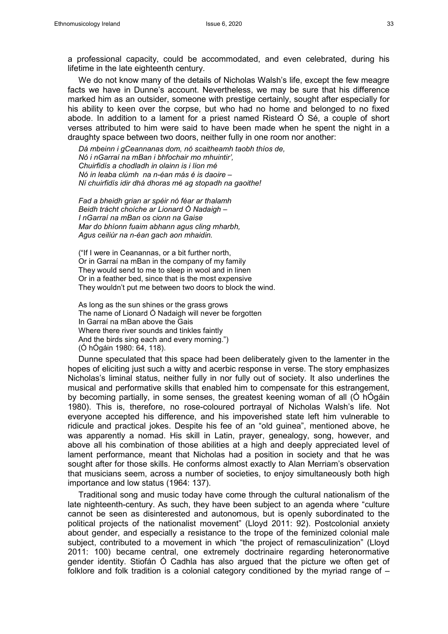a professional capacity, could be accommodated, and even celebrated, during his lifetime in the late eighteenth century.

We do not know many of the details of Nicholas Walsh's life, except the few meagre facts we have in Dunne's account. Nevertheless, we may be sure that his difference marked him as an outsider, someone with prestige certainly, sought after especially for his ability to keen over the corpse, but who had no home and belonged to no fixed abode. In addition to a lament for a priest named Risteard Ó Sé, a couple of short verses attributed to him were said to have been made when he spent the night in a draughty space between two doors, neither fully in one room nor another:

*Dá mbeinn i gCeannanas dom, nó scaitheamh taobh thíos de, Nó i nGarraí na mBan i bhfochair mo mhuintir', Chuirfidís a chodladh in olainn is i líon mé Nó in leaba clúmh na n-éan más é is daoire – Ní chuirfidís idir dhá dhoras mé ag stopadh na gaoithe!*

*Fad a bheidh grian ar spéir nó féar ar thalamh Beidh trácht choíche ar Lionard Ó Nadaigh – I nGarraí na mBan os cionn na Gaise Mar do bhíonn fuaim abhann agus cling mharbh, Agus ceiliúr na n-éan gach aon mhaidin.* 

("If I were in Ceanannas, or a bit further north, Or in Garraí na mBan in the company of my family They would send to me to sleep in wool and in linen Or in a feather bed, since that is the most expensive They wouldn't put me between two doors to block the wind.

As long as the sun shines or the grass grows The name of Lionard Ó Nadaigh will never be forgotten In Garraí na mBan above the Gais Where there river sounds and tinkles faintly And the birds sing each and every morning.") (Ó hÓgáin 1980: 64, 118).

Dunne speculated that this space had been deliberately given to the lamenter in the hopes of eliciting just such a witty and acerbic response in verse. The story emphasizes Nicholas's liminal status, neither fully in nor fully out of society. It also underlines the musical and performative skills that enabled him to compensate for this estrangement, by becoming partially, in some senses, the greatest keening woman of all (Ó hÓgáin 1980). This is, therefore, no rose-coloured portrayal of Nicholas Walsh's life. Not everyone accepted his difference, and his impoverished state left him vulnerable to ridicule and practical jokes. Despite his fee of an "old guinea", mentioned above, he was apparently a nomad. His skill in Latin, prayer, genealogy, song, however, and above all his combination of those abilities at a high and deeply appreciated level of lament performance, meant that Nicholas had a position in society and that he was sought after for those skills. He conforms almost exactly to Alan Merriam's observation that musicians seem, across a number of societies, to enjoy simultaneously both high importance and low status (1964: 137).

Traditional song and music today have come through the cultural nationalism of the late nighteenth-century. As such, they have been subject to an agenda where "culture cannot be seen as disinterested and autonomous, but is openly subordinated to the political projects of the nationalist movement" (Lloyd 2011: 92). Postcolonial anxiety about gender, and especially a resistance to the trope of the feminized colonial male subject, contributed to a movement in which "the project of remasculinization" (Lloyd 2011: 100) became central, one extremely doctrinaire regarding heteronormative gender identity. Stiofán Ó Cadhla has also argued that the picture we often get of folklore and folk tradition is a colonial category conditioned by the myriad range of  $-$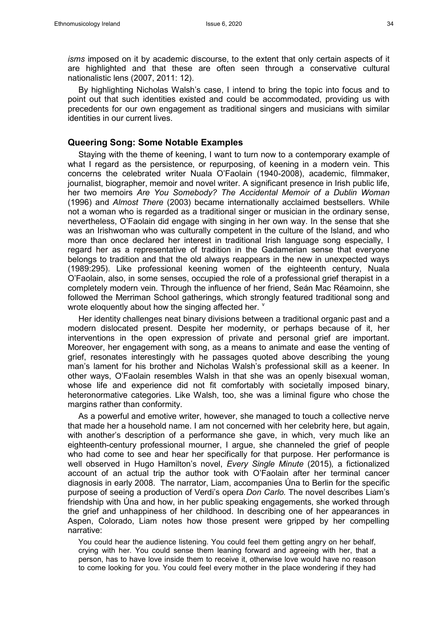*isms* imposed on it by academic discourse, to the extent that only certain aspects of it are highlighted and that these are often seen through a conservative cultural nationalistic lens (2007, 2011: 12).

By highlighting Nicholas Walsh's case, I intend to bring the topic into focus and to point out that such identities existed and could be accommodated, providing us with precedents for our own engagement as traditional singers and musicians with similar identities in our current lives.

#### **Queering Song: Some Notable Examples**

Staying with the theme of keening, I want to turn now to a contemporary example of what I regard as the persistence, or repurposing, of keening in a modern vein. This concerns the celebrated writer Nuala O'Faolain (1940-2008), academic, filmmaker, journalist, biographer, memoir and novel writer. A significant presence in Irish public life, her two memoirs *Are You Somebody? The Accidental Memoir of a Dublin Woman*  (1996) and *Almost There* (2003) became internationally acclaimed bestsellers. While not a woman who is regarded as a traditional singer or musician in the ordinary sense, nevertheless, O'Faolain did engage with singing in her own way. In the sense that she was an Irishwoman who was culturally competent in the culture of the Island, and who more than once declared her interest in traditional Irish language song especially, I regard her as a representative of tradition in the Gadamerian sense that everyone belongs to tradition and that the old always reappears in the new in unexpected ways (1989:295). Like professional keening women of the eighteenth century, Nuala O'Faolain, also, in some senses, occupied the role of a professional grief therapist in a completely modern vein. Through the influence of her friend, Seán Mac Réamoinn, she followed the Merriman School gatherings, which strongly featured traditional song and wrote eloquently about how the singing affected her.  $\frac{v}{x}$  $\frac{v}{x}$  $\frac{v}{x}$ 

Her identity challenges neat binary divisions between a traditional organic past and a modern dislocated present. Despite her modernity, or perhaps because of it, her interventions in the open expression of private and personal grief are important. Moreover, her engagement with song, as a means to animate and ease the venting of grief, resonates interestingly with he passages quoted above describing the young man's lament for his brother and Nicholas Walsh's professional skill as a keener. In other ways, O'Faolain resembles Walsh in that she was an openly bisexual woman, whose life and experience did not fit comfortably with societally imposed binary, heteronormative categories. Like Walsh, too, she was a liminal figure who chose the margins rather than conformity.

As a powerful and emotive writer, however, she managed to touch a collective nerve that made her a household name. I am not concerned with her celebrity here, but again, with another's description of a performance she gave, in which, very much like an eighteenth-century professional mourner, I argue, she channeled the grief of people who had come to see and hear her specifically for that purpose. Her performance is well observed in Hugo Hamilton's novel, *Every Single Minute* (2015)*,* a fictionalized account of an actual trip the author took with O'Faolain after her terminal cancer diagnosis in early 2008. The narrator, Liam, accompanies Úna to Berlin for the specific purpose of seeing a production of Verdi's opera *Don Carlo.* The novel describes Liam's friendship with Úna and how, in her public speaking engagements, she worked through the grief and unhappiness of her childhood. In describing one of her appearances in Aspen, Colorado, Liam notes how those present were gripped by her compelling narrative:

You could hear the audience listening. You could feel them getting angry on her behalf, crying with her. You could sense them leaning forward and agreeing with her, that a person, has to have love inside them to receive it, otherwise love would have no reason to come looking for you. You could feel every mother in the place wondering if they had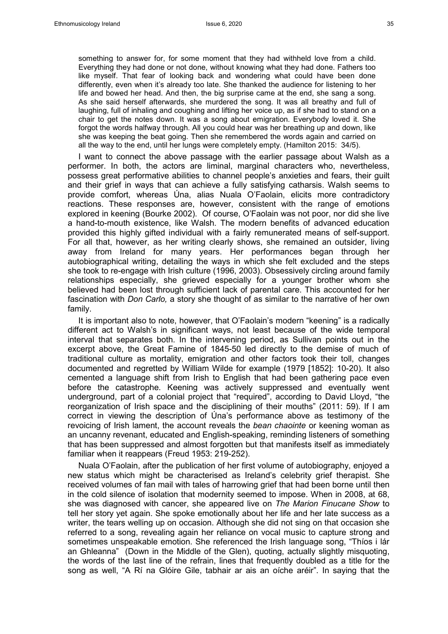something to answer for, for some moment that they had withheld love from a child. Everything they had done or not done, without knowing what they had done. Fathers too like myself. That fear of looking back and wondering what could have been done differently, even when it's already too late. She thanked the audience for listening to her life and bowed her head. And then, the big surprise came at the end, she sang a song. As she said herself afterwards, she murdered the song. It was all breathy and full of laughing, full of inhaling and coughing and lifting her voice up, as if she had to stand on a chair to get the notes down. It was a song about emigration. Everybody loved it. She forgot the words halfway through. All you could hear was her breathing up and down, like she was keeping the beat going. Then she remembered the words again and carried on all the way to the end, until her lungs were completely empty. (Hamilton 2015: 34/5).

I want to connect the above passage with the earlier passage about Walsh as a performer. In both, the actors are liminal, marginal characters who, nevertheless, possess great performative abilities to channel people's anxieties and fears, their guilt and their grief in ways that can achieve a fully satisfying catharsis. Walsh seems to provide comfort, whereas Úna, alias Nuala O'Faolain, elicits more contradictory reactions. These responses are, however, consistent with the range of emotions explored in keening (Bourke 2002). Of course, O'Faolain was not poor, nor did she live a hand-to-mouth existence, like Walsh. The modern benefits of advanced education provided this highly gifted individual with a fairly remunerated means of self-support. For all that, however, as her writing clearly shows, she remained an outsider, living away from Ireland for many years. Her performances began through her autobiographical writing, detailing the ways in which she felt excluded and the steps she took to re-engage with Irish culture (1996, 2003). Obsessively circling around family relationships especially, she grieved especially for a younger brother whom she believed had been lost through sufficient lack of parental care. This accounted for her fascination with *Don Carlo,* a story she thought of as similar to the narrative of her own family.

It is important also to note, however, that O'Faolain's modern "keening" is a radically different act to Walsh's in significant ways, not least because of the wide temporal interval that separates both. In the intervening period, as Sullivan points out in the excerpt above, the Great Famine of 1845-50 led directly to the demise of much of traditional culture as mortality, emigration and other factors took their toll, changes documented and regretted by William Wilde for example (1979 [1852]: 10-20). It also cemented a language shift from Irish to English that had been gathering pace even before the catastrophe. Keening was actively suppressed and eventually went underground, part of a colonial project that "required", according to David Lloyd, "the reorganization of Irish space and the disciplining of their mouths" (2011: 59). If I am correct in viewing the description of Úna's performance above as testimony of the revoicing of Irish lament, the account reveals the *bean chaointe* or keening woman as an uncanny revenant, educated and English-speaking, reminding listeners of something that has been suppressed and almost forgotten but that manifests itself as immediately familiar when it reappears (Freud 1953: 219-252).

Nuala O'Faolain, after the publication of her first volume of autobiography, enjoyed a new status which might be characterised as Ireland's celebrity grief therapist. She received volumes of fan mail with tales of harrowing grief that had been borne until then in the cold silence of isolation that modernity seemed to impose. When in 2008, at 68, she was diagnosed with cancer, she appeared live on *The Marion Finucane Show* to tell her story yet again. She spoke emotionally about her life and her late success as a writer, the tears welling up on occasion. Although she did not sing on that occasion she referred to a song, revealing again her reliance on vocal music to capture strong and sometimes unspeakable emotion. She referenced the Irish language song, "Thíos i lár an Ghleanna" (Down in the Middle of the Glen), quoting, actually slightly misquoting, the words of the last line of the refrain, lines that frequently doubled as a title for the song as well, "A Rí na Glóire Gile, tabhair ar ais an oíche aréir". In saying that the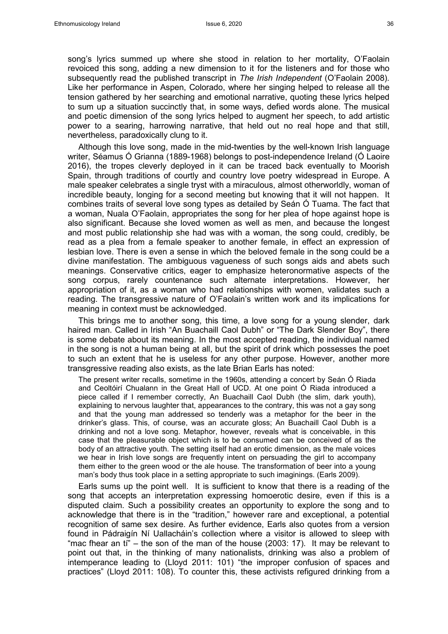song's lyrics summed up where she stood in relation to her mortality, O'Faolain revoiced this song, adding a new dimension to it for the listeners and for those who subsequently read the published transcript in *The Irish Independent* (O'Faolain 2008)*.*  Like her performance in Aspen, Colorado, where her singing helped to release all the tension gathered by her searching and emotional narrative, quoting these lyrics helped to sum up a situation succinctly that, in some ways, defied words alone. The musical and poetic dimension of the song lyrics helped to augment her speech, to add artistic power to a searing, harrowing narrative, that held out no real hope and that still, nevertheless, paradoxically clung to it.

Although this love song, made in the mid-twenties by the well-known Irish language writer, Séamus Ó Grianna (1889-1968) belongs to post-independence Ireland (Ó Laoire 2016), the tropes cleverly deployed in it can be traced back eventually to Moorish Spain, through traditions of courtly and country love poetry widespread in Europe. A male speaker celebrates a single tryst with a miraculous, almost otherworldly, woman of incredible beauty, longing for a second meeting but knowing that it will not happen. It combines traits of several love song types as detailed by Seán Ó Tuama. The fact that a woman, Nuala O'Faolain, appropriates the song for her plea of hope against hope is also significant. Because she loved women as well as men, and because the longest and most public relationship she had was with a woman, the song could, credibly, be read as a plea from a female speaker to another female, in effect an expression of lesbian love. There is even a sense in which the beloved female in the song could be a divine manifestation. The ambiguous vagueness of such songs aids and abets such meanings. Conservative critics, eager to emphasize heteronormative aspects of the song corpus, rarely countenance such alternate interpretations. However, her appropriation of it, as a woman who had relationships with women, validates such a reading. The transgressive nature of O'Faolain's written work and its implications for meaning in context must be acknowledged.

This brings me to another song, this time, a love song for a young slender, dark haired man. Called in Irish "An Buachaill Caol Dubh" or "The Dark Slender Boy", there is some debate about its meaning. In the most accepted reading, the individual named in the song is not a human being at all, but the spirit of drink which possesses the poet to such an extent that he is useless for any other purpose. However, another more transgressive reading also exists, as the late Brian Earls has noted:

The present writer recalls, sometime in the 1960s, attending a concert by Seán Ó Riada and Ceoltóirí Chualann in the Great Hall of UCD. At one point Ó Riada introduced a piece called if I remember correctly, An Buachaill Caol Dubh (the slim, dark youth), explaining to nervous laughter that, appearances to the contrary, this was not a gay song and that the young man addressed so tenderly was a metaphor for the beer in the drinker's glass. This, of course, was an accurate gloss; An Buachaill Caol Dubh is a drinking and not a love song. Metaphor, however, reveals what is conceivable, in this case that the pleasurable object which is to be consumed can be conceived of as the body of an attractive youth. The setting itself had an erotic dimension, as the male voices we hear in Irish love songs are frequently intent on persuading the girl to accompany them either to the green wood or the ale house. The transformation of beer into a young man's body thus took place in a setting appropriate to such imaginings. (Earls 2009).

Earls sums up the point well. It is sufficient to know that there is a reading of the song that accepts an interpretation expressing homoerotic desire, even if this is a disputed claim. Such a possibility creates an opportunity to explore the song and to acknowledge that there is in the "tradition," however rare and exceptional, a potential recognition of same sex desire. As further evidence, Earls also quotes from a version found in Pádraigín Ní Uallacháin's collection where a visitor is allowed to sleep with "mac fhear an ti" – the son of the man of the house (2003: 17). It may be relevant to point out that, in the thinking of many nationalists, drinking was also a problem of intemperance leading to (Lloyd 2011: 101) "the improper confusion of spaces and practices" (Lloyd 2011: 108). To counter this, these activists refigured drinking from a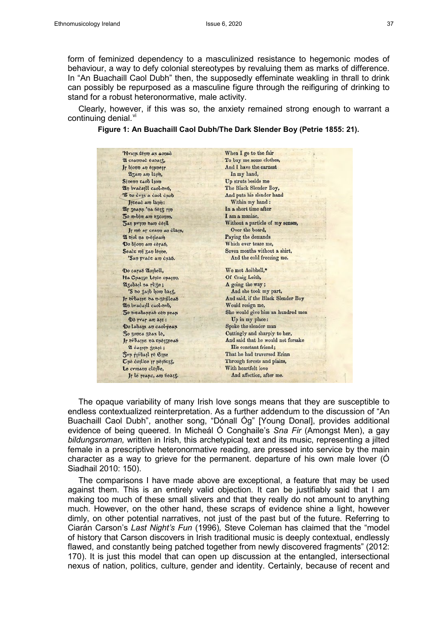form of feminized dependency to a masculinized resistance to hegemonic modes of behaviour, a way to defy colonial stereotypes by revaluing them as marks of difference. In "An Buachaill Caol Dubh" then, the supposedly effeminate weakling in thrall to drink can possibly be repurposed as a masculine figure through the reifiguring of drinking to stand for a robust heteronormative, male activity.

Clearly, however, if this was so, the anxiety remained strong enough to warrant a continuing denial. $V<sup>u</sup>$ 

#### **Figure 1: An Buachaill Caol Dubh/The Dark Slender Boy (Petrie 1855: 21).**

| 'Nyaju têm au aonac                            | When I go to the fair              |
|------------------------------------------------|------------------------------------|
| 21 селипас ельстъ,                             | To buy me some clothes,            |
| Ir bjonn an equietr                            | And I have the earnest             |
| Azam am lapin,                                 | In my hand,                        |
| Sinenn caob lion                               | Up struts beside me                |
| 21) bracajll caol-br6,                         | The Black Slender Boy,             |
| 'S do cyp a caol chob                          | And puts his slender hand          |
| Jrceac am lapin:                               | Within my hand:                    |
| 21 Jeann 'na belt rin                          | In a short time after              |
| 50 m-bim am excount,                           | I am a maniac.                     |
| <b>540 pyinn bam ceill</b>                     | Without a particle of my senses,   |
| Ir me ar ceann an clain,                       | Over the board,                    |
| 21 ojol na n-eileam                            | Paying the demands                 |
| Do bjonn am cerao,                             | Which ever teaze me,               |
| Seace mj zan leque,                            | Seven months without a shirt,      |
| 'San prace am chao.                            | And the cold freezing me.          |
|                                                |                                    |
| Do caras 2lo <sub>lbell</sub> ,                | We met Aoibhell,*                  |
| Na Chalze Leice onalpp,                        | Of Craig Leith,                    |
| 213abail na rliże;                             | A going the way;                   |
| 'S do $\frac{1}{2}$ ajb ljom baj $\frac{1}{2}$ | And she took my part,              |
| Jr orbaspe ba n-zeilleas                       | And said, if the Black Slender Boy |
| 210 bracaill caol-orb,                         | Would resign me,                   |
| 50 o-tabanrad себ реап                         | She would give him an hundred men  |
| Do ryar am aje:                                | Up in my place:                    |
| Do labam an caol-rean                          | Spoke the slender man              |
| 50 zouca zean le,                              | Cuttingly and sharply to her,      |
| Ir ovbatue na energread                        | And said that he would not forsake |
| 21 cappio 50aje;                               | His constant friend;               |
| <b><i><u>Syn rivball</u></i></b> re Ellie      | That he had traversed Erinn        |
| $\sigma_{\mu}$ é collee ir nejecis,            | Through forests and plains,        |
| Le cymann cléibe,                              | With heartfelt love                |
| Ir le reapc, am bealt.                         | And affection, after me.           |
|                                                |                                    |

The opaque variability of many Irish love songs means that they are susceptible to endless contextualized reinterpretation. As a further addendum to the discussion of "An Buachaill Caol Dubh", another song, "Dónall Óg" [Young Donal], provides additional evidence of being queered. In Micheál Ó Conghaile's *Sna Fir* (Amongst Men), a gay *bildungsroman,* written in Irish, this archetypical text and its music, representing a jilted female in a prescriptive heteronormative reading, are pressed into service by the main character as a way to grieve for the permanent. departure of his own male lover (Ó Siadhail 2010: 150).

The comparisons I have made above are exceptional, a feature that may be used against them. This is an entirely valid objection. It can be justifiably said that I am making too much of these small slivers and that they really do not amount to anything much. However, on the other hand, these scraps of evidence shine a light, however dimly, on other potential narratives, not just of the past but of the future. Referring to Ciarán Carson's *Last Night's Fun* (1996)*,* Steve Coleman has claimed that the "model of history that Carson discovers in Irish traditional music is deeply contextual, endlessly flawed, and constantly being patched together from newly discovered fragments" (2012: 170). It is just this model that can open up discussion at the entangled, intersectional nexus of nation, politics, culture, gender and identity. Certainly, because of recent and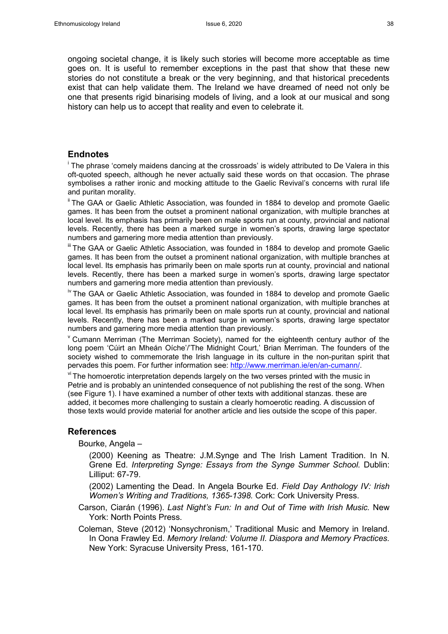ongoing societal change, it is likely such stories will become more acceptable as time goes on. It is useful to remember exceptions in the past that show that these new stories do not constitute a break or the very beginning, and that historical precedents exist that can help validate them. The Ireland we have dreamed of need not only be one that presents rigid binarising models of living, and a look at our musical and song history can help us to accept that reality and even to celebrate it.

### **Endnotes**

 $^\mathsf{i}$  The phrase 'comely maidens dancing at the crossroads' is widely attributed to De Valera in this  $^\mathsf{i}$ oft-quoted speech, although he never actually said these words on that occasion. The phrase symbolises a rather ironic and mocking attitude to the Gaelic Revival's concerns with rural life and puritan morality.

<sup>ii</sup> The GAA or Gaelic Athletic Association, was founded in 1884 to develop and promote Gaelic games. It has been from the outset a prominent national organization, with multiple branches at local level. Its emphasis has primarily been on male sports run at county, provincial and national levels. Recently, there has been a marked surge in women's sports, drawing large spectator numbers and garnering more media attention than previously.

III The GAA or Gaelic Athletic Association, was founded in 1884 to develop and promote Gaelic games. It has been from the outset a prominent national organization, with multiple branches at local level. Its emphasis has primarily been on male sports run at county, provincial and national levels. Recently, there has been a marked surge in women's sports, drawing large spectator numbers and garnering more media attention than previously.

<sup>iv</sup> The GAA or Gaelic Athletic Association, was founded in 1884 to develop and promote Gaelic games. It has been from the outset a prominent national organization, with multiple branches at local level. Its emphasis has primarily been on male sports run at county, provincial and national levels. Recently, there has been a marked surge in women's sports, drawing large spectator numbers and garnering more media attention than previously.

 $\degree$  Cumann Merriman (The Merriman Society), named for the eighteenth century author of the long poem 'Cúirt an Mheán Oíche'/'The Midnight Court,' Brian Merriman. The founders of the society wished to commemorate the Irish language in its culture in the non-puritan spirit that pervades this poem. For further information see: http://www.merriman.ie/en/an-cumann/.

 $v<sup>i</sup>$  The homoerotic interpretation depends largely on the two verses printed with the music in Petrie and is probably an unintended consequence of not publishing the rest of the song. When (see Figure 1). I have examined a number of other texts with additional stanzas. these are added, it becomes more challenging to sustain a clearly homoerotic reading. A discussion of those texts would provide material for another article and lies outside the scope of this paper.

#### **References**

Bourke, Angela –

 (2000) Keening as Theatre: J.M.Synge and The Irish Lament Tradition. In N. Grene Ed. *Interpreting Synge: Essays from the Synge Summer School.* Dublin: Lilliput: 67-79.

 (2002) Lamenting the Dead. In Angela Bourke Ed. *Field Day Anthology IV: Irish Women's Writing and Traditions, 1365-1398.* Cork: Cork University Press.

Carson, Ciarán (1996). *Last Night's Fun: In and Out of Time with Irish Music.* New York: North Points Press.

Coleman, Steve (2012) 'Nonsychronism,' Traditional Music and Memory in Ireland. In Oona Frawley Ed. *Memory Ireland: Volume II. Diaspora and Memory Practices.* New York: Syracuse University Press, 161-170.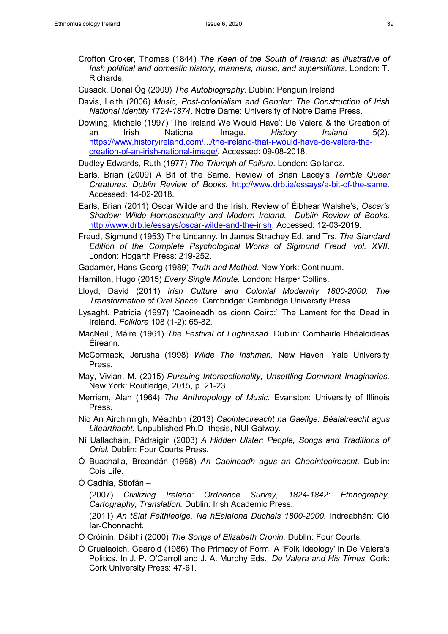- Crofton Croker, Thomas (1844) *The Keen of the South of Ireland: as illustrative of Irish political and domestic history, manners, music, and superstitions.* London: T. Richards.
- Cusack, Donal Óg (2009) *The Autobiography.* Dublin: Penguin Ireland.
- Davis, Leith (2006) *Music, Post-colonialism and Gender: The Construction of Irish National Identity 1724-1874*. Notre Dame: University of Notre Dame Press.
- Dowling, Michele (1997) 'The Ireland We Would Have': De Valera & the Creation of an Irish National Image. *History Ireland* 5(2). [https://www.historyireland.com/.../the-ireland-that-i-would-have-de-valera-the](https://www.historyireland.com/.../the-ireland-that-i-would-have-de-valera-the-creation-of-an-irish-national-image/)[creation-of-an-irish-national-image/.](https://www.historyireland.com/.../the-ireland-that-i-would-have-de-valera-the-creation-of-an-irish-national-image/) Accessed: 09-08-2018.

Dudley Edwards, Ruth (1977) *The Triumph of Failure.* London: Gollancz.

- Earls, Brian (2009) A Bit of the Same. Review of Brian Lacey's *Terrible Queer Creatures*. *Dublin Review of Books.* [http://www.drb.ie/essays/a-bit-of-the-same.](http://www.drb.ie/essays/a-bit-of-the-same) Accessed: 14-02-2018.
- Earls, Brian (2011) Oscar Wilde and the Irish. Review of Éibhear Walshe's, *Oscar's Shadow: Wilde Homosexuality and Modern Ireland. Dublin Review of Books.*  [http://www.drb.ie/essays/oscar-wilde-and-the-irish.](http://www.drb.ie/essays/oscar-wilde-and-the-irish) Accessed: 12-03-2019.
- Freud, Sigmund (1953) The Uncanny. In James Strachey Ed. and Trs. *The Standard Edition of the Complete Psychological Works of Sigmund Freud*, *vol. XVII*. London: Hogarth Press: 219-252.

Gadamer, Hans-Georg (1989) *Truth and Method.* New York: Continuum.

Hamilton, Hugo (2015) *Every Single Minute.* London: Harper Collins.

- Lloyd, David (2011) *Irish Culture and Colonial Modernity 1800-2000: The Transformation of Oral Space.* Cambridge: Cambridge University Press.
- Lysaght. Patricia (1997) 'Caoineadh os cionn Coirp:' The Lament for the Dead in Ireland. *Folklore* 108 (1-2): 65-82.
- MacNeill, Máire (1961) *The Festival of Lughnasad.* Dublin: Comhairle Bhéaloideas Éireann.
- McCormack, Jerusha (1998) *Wilde The Irishman.* New Haven: Yale University Press.
- May, Vivian. M. (2015) *Pursuing Intersectionality, Unsettling Dominant Imaginaries.* New York: Routledge, 2015, p. 21-23.
- Merriam, Alan (1964) *The Anthropology of Music.* Evanston: University of Illinois Press.
- Nic An Airchinnigh, Méadhbh (2013) *Caointeoireacht na Gaeilge: Béalaireacht agus Litearthacht.* Unpublished Ph.D. thesis, NUI Galway.
- Ní Uallacháin, Pádraigín (2003) *A Hidden Ulster: People, Songs and Traditions of Oriel.* Dublin: Four Courts Press.
- Ó Buachalla, Breandán (1998) *An Caoineadh agus an Chaointeoireacht.* Dublin: Cois Life.
- Ó Cadhla, Stiofán –

 (2007) *Civilizing Ireland: Ordnance Survey, 1824-1842: Ethnography, Cartography, Translation.* Dublin: Irish Academic Press.

(2011) *An tSlat Féithleoige. Na hEalaíona Dúchais 1800-2000.* Indreabhán: Cló Iar-Chonnacht.

- Ó Cróinín, Dáibhí (2000) *The Songs of Elizabeth Cronin.* Dublin: Four Courts.
- Ó Crualaoich, Gearóid (1986) The Primacy of Form: A 'Folk Ideology' in De Valera's Politics. In J. P. O'Carroll and J. A. Murphy Eds. *De Valera and His Times*. Cork: Cork University Press: 47-61.